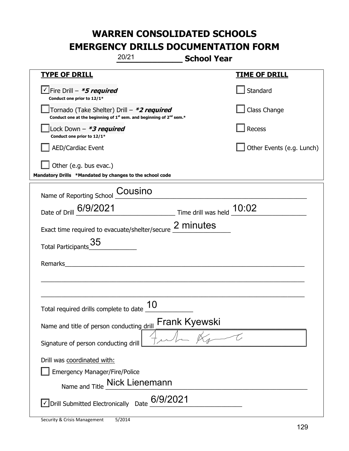| 20/21                                                                                                                       | <b>School Year</b>                                                              |
|-----------------------------------------------------------------------------------------------------------------------------|---------------------------------------------------------------------------------|
| <u>TYPE OF DRILL</u>                                                                                                        | <b>TIME OF DRILL</b>                                                            |
| $\vert \sqrt{\vert}$ Fire Drill – <b>*5 required</b><br>Conduct one prior to 12/1*                                          | Standard                                                                        |
| Tornado (Take Shelter) Drill - *2 required<br>Conduct one at the beginning of $1^{st}$ sem. and beginning of $2^{nd}$ sem.* | Class Change                                                                    |
| Lock Down - *3 required<br>Conduct one prior to 12/1*                                                                       | Recess                                                                          |
| AED/Cardiac Event                                                                                                           | Other Events (e.g. Lunch)                                                       |
| $\vert$ Other (e.g. bus evac.)<br>Mandatory Drills *Mandated by changes to the school code                                  |                                                                                 |
| Cousino<br>Name of Reporting School                                                                                         |                                                                                 |
| Date of Drill 6/9/2021                                                                                                      | $\frac{10:02}{\frac{1}{200}}$ Time drill was held $\frac{10:02}{\frac{1}{200}}$ |
| Exact time required to evacuate/shelter/secure 2 minutes                                                                    |                                                                                 |
| Total Participants <sup>35</sup>                                                                                            |                                                                                 |
| Remarks                                                                                                                     |                                                                                 |
|                                                                                                                             |                                                                                 |
| 10<br>Total required drills complete to date                                                                                |                                                                                 |
| Name and title of person conducting drill                                                                                   | Frank Kyewski                                                                   |
| Signature of person conducting drill                                                                                        |                                                                                 |
| Drill was coordinated with:<br><b>Emergency Manager/Fire/Police</b><br>Name and Title Nick Lienemann                        |                                                                                 |
| $\sqrt{\text{Drill}}$ Submitted Electronically Date $\underline{6/9/2021}$                                                  |                                                                                 |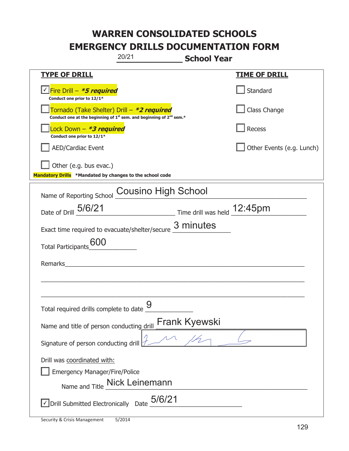| 20/21<br><b>School Year</b>                                                                                                               |                           |
|-------------------------------------------------------------------------------------------------------------------------------------------|---------------------------|
| <b>TYPE OF DRILL</b>                                                                                                                      | <u>TIME OF DRILL</u>      |
| √Fire Drill – <i>*<b>5 required</b></i><br>Conduct one prior to 12/1*                                                                     | Standard                  |
| Tornado (Take Shelter) Drill - *2 required<br>Conduct one at the beginning of 1 <sup>st</sup> sem. and beginning of 2 <sup>nd</sup> sem.* | Class Change              |
| Lock Down – <b>*<i>3 required</i></b><br>Conduct one prior to 12/1*                                                                       | Recess                    |
| <b>AED/Cardiac Event</b>                                                                                                                  | Other Events (e.g. Lunch) |
| Other (e.g. bus evac.)<br>Mandatory Drills *Mandated by changes to the school code                                                        |                           |
| Name of Reporting School Cousino High School                                                                                              |                           |
| Date of Drill 5/6/21<br>Time drill was held 12:45pm                                                                                       |                           |
| 3 minutes<br>Exact time required to evacuate/shelter/secure                                                                               |                           |
| <b>Total Participants</b>                                                                                                                 |                           |
| Remarks                                                                                                                                   |                           |
|                                                                                                                                           |                           |
| 9<br>Total required drills complete to date                                                                                               |                           |
| <b>Frank Kyewski</b><br>Name and title of person conducting drill                                                                         |                           |
| Signature of person conducting drill                                                                                                      |                           |
| Drill was coordinated with:<br><b>Emergency Manager/Fire/Police</b><br>Name and Title Mick Leinemann                                      |                           |
| $\vee$ Drill Submitted Electronically Date $5/6/21$                                                                                       |                           |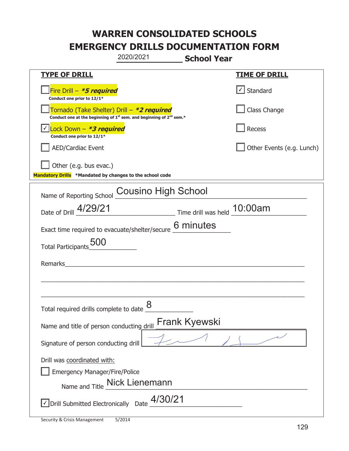|                                                                                                                                           | 2020/2021                     | <b>School Year</b>                                      |                           |
|-------------------------------------------------------------------------------------------------------------------------------------------|-------------------------------|---------------------------------------------------------|---------------------------|
| <b>TYPE OF DRILL</b>                                                                                                                      |                               |                                                         | <b>TIME OF DRILL</b>      |
| Fire Drill - *5 required<br>Conduct one prior to 12/1*                                                                                    |                               |                                                         | $\cup$ Standard           |
| Tornado (Take Shelter) Drill – *2 required<br>Conduct one at the beginning of 1 <sup>st</sup> sem. and beginning of 2 <sup>nd</sup> sem.* |                               |                                                         | Class Change              |
| Lock Down - <b>*3 required</b><br>Conduct one prior to 12/1*                                                                              |                               |                                                         | Recess                    |
| <b>AED/Cardiac Event</b>                                                                                                                  |                               |                                                         | Other Events (e.g. Lunch) |
| Other (e.g. bus evac.)<br>Mandatory Drills *Mandated by changes to the school code                                                        |                               |                                                         |                           |
| Name of Reporting School                                                                                                                  | <b>Cousino High School</b>    |                                                         |                           |
| Date of Drill 4/29/21                                                                                                                     |                               | $\frac{10:00}{2}$ Time drill was held $\frac{10:00}{2}$ |                           |
| Exact time required to evacuate/shelter/secure $6$ minutes                                                                                |                               |                                                         |                           |
| <b>Total Participants</b>                                                                                                                 |                               |                                                         |                           |
| Remarks                                                                                                                                   |                               |                                                         |                           |
|                                                                                                                                           |                               |                                                         |                           |
| Total required drills complete to date $\frac{8}{4}$                                                                                      |                               |                                                         |                           |
| Name and title of person conducting drill                                                                                                 |                               | <b>Frank Kyewski</b>                                    |                           |
| Signature of person conducting drill                                                                                                      |                               |                                                         |                           |
| Drill was coordinated with:<br><b>Emergency Manager/Fire/Police</b>                                                                       | Name and Title Nick Lienemann |                                                         |                           |
| $\vee$ Drill Submitted Electronically Date $\_$ 4/30/21                                                                                   |                               |                                                         |                           |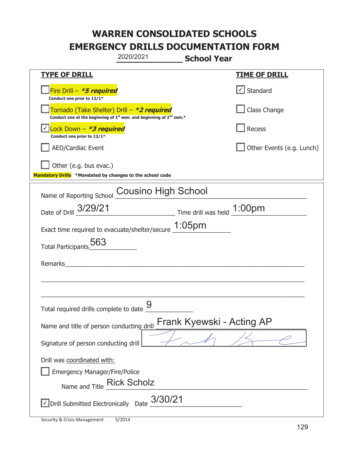|                                                                                       | 2020/2021                                                                     | <b>School Year</b>         |                           |
|---------------------------------------------------------------------------------------|-------------------------------------------------------------------------------|----------------------------|---------------------------|
| <b>TYPE OF DRILL</b>                                                                  |                                                                               |                            | <b>TIME OF DRILL</b>      |
| Fire Drill - *5 required<br>Conduct one prior to 12/1*                                |                                                                               |                            | $\cup$ Standard           |
| Tornado (Take Shelter) Drill – *2 required                                            | Conduct one at the beginning of $1^{st}$ sem. and beginning of $2^{nd}$ sem.* |                            | Class Change              |
| Lock Down - <b>*3 required</b><br>Conduct one prior to 12/1*                          |                                                                               |                            | Recess                    |
| <b>AED/Cardiac Event</b>                                                              |                                                                               |                            | Other Events (e.g. Lunch) |
| Other (e.g. bus evac.)<br>Mandatory Drills *Mandated by changes to the school code    |                                                                               |                            |                           |
| Name of Reporting School Cousino High School                                          |                                                                               |                            |                           |
| Date of Drill 3/29/21                                                                 |                                                                               | Time drill was held 1:00pm |                           |
| Exact time required to evacuate/shelter/secure 1:05pm                                 |                                                                               |                            |                           |
| 563<br>Total Participants                                                             |                                                                               |                            |                           |
| Remarks                                                                               |                                                                               |                            |                           |
|                                                                                       |                                                                               |                            |                           |
|                                                                                       | 9                                                                             |                            |                           |
| Total required drills complete to date $\tilde{\phantom{a}}$                          |                                                                               |                            |                           |
| Name and title of person conducting drill                                             |                                                                               | Frank Kyewski - Acting AP  |                           |
| Signature of person conducting drill                                                  |                                                                               |                            |                           |
| Drill was coordinated with:<br><b>Emergency Manager/Fire/Police</b><br>Name and Title | <b>Rick Scholz</b>                                                            |                            |                           |
| √ Drill Submitted Electronically Date                                                 | 3/30/21                                                                       |                            |                           |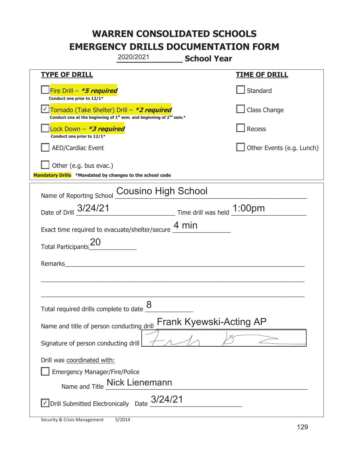|                                                                                                                                           | 2020/2021                      | <b>School Year</b>             |                           |
|-------------------------------------------------------------------------------------------------------------------------------------------|--------------------------------|--------------------------------|---------------------------|
| <b>TYPE OF DRILL</b>                                                                                                                      |                                |                                | <u>TIME OF DRILL</u>      |
| Fire Drill - *5 required<br>Conduct one prior to 12/1*                                                                                    |                                |                                | Standard                  |
| Tornado (Take Shelter) Drill – *2 required<br>Conduct one at the beginning of 1 <sup>st</sup> sem. and beginning of 2 <sup>nd</sup> sem.* |                                |                                | Class Change              |
| Lock Down - <b><i>*3 required</i></b><br>Conduct one prior to 12/1*                                                                       |                                |                                | Recess                    |
| <b>AED/Cardiac Event</b>                                                                                                                  |                                |                                | Other Events (e.g. Lunch) |
| Other (e.g. bus evac.)<br>Mandatory Drills *Mandated by changes to the school code                                                        |                                |                                |                           |
| Name of Reporting School Cousino High School                                                                                              |                                |                                |                           |
| Date of Drill 3/24/21                                                                                                                     | Time drill was held 1:00pm     |                                |                           |
| Exact time required to evacuate/shelter/secure 4 min                                                                                      |                                |                                |                           |
| <b>Total Participants</b>                                                                                                                 |                                |                                |                           |
| Remarks                                                                                                                                   |                                |                                |                           |
|                                                                                                                                           |                                |                                |                           |
| Total required drills complete to date $\underline{\mathcal{8}}$                                                                          |                                |                                |                           |
| Name and title of person conducting drill                                                                                                 |                                | <b>Frank Kyewski-Acting AP</b> |                           |
| Signature of person conducting drill                                                                                                      |                                |                                |                           |
| Drill was coordinated with:<br><b>Emergency Manager/Fire/Police</b>                                                                       | Name and Title _Nick Lienemann |                                |                           |
| $\vee$ Drill Submitted Electronically Date $\frac{3}{24/21}$                                                                              |                                |                                |                           |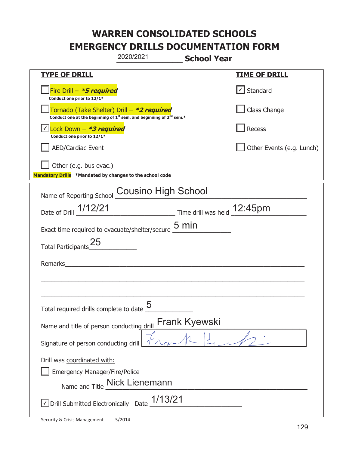|                                                                                       | 2020/2021                                                                                   | <b>School Year</b> |                                   |
|---------------------------------------------------------------------------------------|---------------------------------------------------------------------------------------------|--------------------|-----------------------------------|
| <b>TYPE OF DRILL</b>                                                                  |                                                                                             |                    | <u>TIME OF DRILL</u>              |
| Fire Drill - *5 required<br>Conduct one prior to 12/1*                                |                                                                                             |                    | $\lfloor \angle \rfloor$ Standard |
| Tornado (Take Shelter) Drill – *2 required                                            | Conduct one at the beginning of 1 <sup>st</sup> sem. and beginning of 2 <sup>nd</sup> sem.* |                    | Class Change                      |
| $\vert$ Lock Down - *3 required<br>Conduct one prior to 12/1*                         |                                                                                             |                    | Recess                            |
| <b>AED/Cardiac Event</b>                                                              |                                                                                             |                    | Other Events (e.g. Lunch)         |
| Other (e.g. bus evac.)<br>Mandatory Drills *Mandated by changes to the school code    |                                                                                             |                    |                                   |
| Name of Reporting School Cousino High School                                          |                                                                                             |                    |                                   |
| Date of Drill 1/12/21                                                                 | Time drill was held 12:45pm                                                                 |                    |                                   |
| Exact time required to evacuate/shelter/secure $\underline{5}$ min                    |                                                                                             |                    |                                   |
| Total Participants_25                                                                 |                                                                                             |                    |                                   |
| Remarks <b>Exercise Section 2008</b>                                                  |                                                                                             |                    |                                   |
|                                                                                       |                                                                                             |                    |                                   |
| Total required drills complete to date $\underline{\mathsf{5}}$                       |                                                                                             |                    |                                   |
| Name and title of person conducting drill                                             |                                                                                             | Frank Kyewski      |                                   |
| Signature of person conducting drill                                                  |                                                                                             |                    |                                   |
| Drill was coordinated with:<br><b>Emergency Manager/Fire/Police</b><br>Name and Title | Nick Lienemann                                                                              |                    |                                   |
| $\sqrt{}$ Drill Submitted Electronically Date $\_1/13/21$                             |                                                                                             |                    |                                   |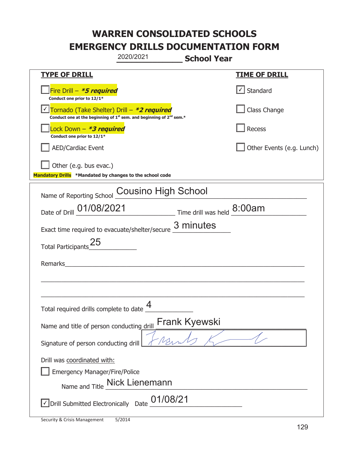|                                                                                       | 2020/2021                                                                                   | <b>School Year</b>        |
|---------------------------------------------------------------------------------------|---------------------------------------------------------------------------------------------|---------------------------|
| <u>TYPE OF DRILL</u>                                                                  |                                                                                             | <b>TIME OF DRILL</b>      |
| Fire Drill - *5 required<br>Conduct one prior to 12/1*                                |                                                                                             | $\cup$ Standard           |
| Tornado (Take Shelter) Drill – *2 required                                            | Conduct one at the beginning of 1 <sup>st</sup> sem. and beginning of 2 <sup>nd</sup> sem.* | Class Change              |
| Lock Down - *3 required<br>Conduct one prior to 12/1*                                 |                                                                                             | Recess                    |
| <b>AED/Cardiac Event</b>                                                              |                                                                                             | Other Events (e.g. Lunch) |
| Other (e.g. bus evac.)<br>Mandatory Drills *Mandated by changes to the school code    |                                                                                             |                           |
| Name of Reporting School                                                              | <b>Cousino High School</b>                                                                  |                           |
| Date of Drill 01/08/2021                                                              | $\frac{8.00}{\sqrt{2}}$ Time drill was held $\frac{8.00}{\sqrt{2}}$                         |                           |
|                                                                                       | Exact time required to evacuate/shelter/secure 3 minutes                                    |                           |
| Total Participants <sup>25</sup>                                                      |                                                                                             |                           |
| Remarks                                                                               |                                                                                             |                           |
|                                                                                       |                                                                                             |                           |
| Total required drills complete to date $\underline{\mathcal{4}}$                      |                                                                                             |                           |
| Name and title of person conducting drill                                             | Frank Kyewski                                                                               |                           |
| Signature of person conducting drill                                                  |                                                                                             |                           |
| Drill was coordinated with:<br><b>Emergency Manager/Fire/Police</b><br>Name and Title | Nick Lienemann                                                                              |                           |
| Drill Submitted Electronically Date                                                   | 01/08/21                                                                                    |                           |

ı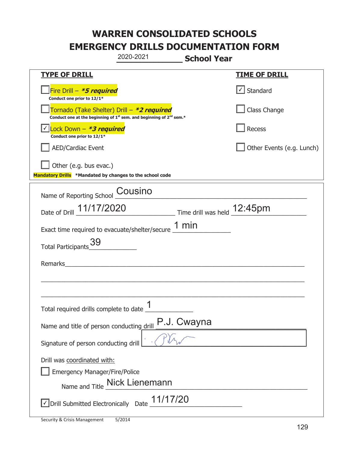|                                                                                    | 2020-2021                                                                                   | <b>School Year</b>             |                           |
|------------------------------------------------------------------------------------|---------------------------------------------------------------------------------------------|--------------------------------|---------------------------|
| <b>TYPE OF DRILL</b>                                                               |                                                                                             |                                | <b>TIME OF DRILL</b>      |
| Fire Drill - *5 required<br>Conduct one prior to 12/1*                             |                                                                                             |                                | Standard                  |
| Tornado (Take Shelter) Drill – *2 required                                         | Conduct one at the beginning of 1 <sup>st</sup> sem. and beginning of 2 <sup>nd</sup> sem.* |                                | Class Change              |
| Lock Down - *3 required<br>Conduct one prior to 12/1*                              |                                                                                             |                                | <b>Recess</b>             |
| <b>AED/Cardiac Event</b>                                                           |                                                                                             |                                | Other Events (e.g. Lunch) |
| Other (e.g. bus evac.)<br>Mandatory Drills *Mandated by changes to the school code |                                                                                             |                                |                           |
| Name of Reporting School                                                           | Cousino                                                                                     |                                |                           |
| Date of Drill 11/17/2020                                                           |                                                                                             | Time drill was held $12:45$ pm |                           |
| Exact time required to evacuate/shelter/secure $\underline{1}$ min                 |                                                                                             |                                |                           |
| <b>Total Participants</b>                                                          |                                                                                             |                                |                           |
| Remarks                                                                            |                                                                                             |                                |                           |
|                                                                                    |                                                                                             |                                |                           |
| Total required drills complete to date $\frac{1}{1}$                               |                                                                                             |                                |                           |
| Name and title of person conducting drill                                          |                                                                                             | P.J. Cwayna                    |                           |
| Signature of person conducting drill                                               |                                                                                             |                                |                           |
| Drill was coordinated with:<br><b>Emergency Manager/Fire/Police</b>                | Name and Title Mick Lienemann                                                               |                                |                           |
| √ Drill Submitted Electronically Date                                              | 11/17/20                                                                                    |                                |                           |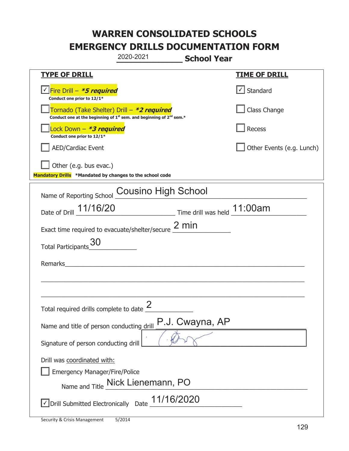|                                                                                    | 2020-2021                                                                     | <b>School Year</b> |                           |
|------------------------------------------------------------------------------------|-------------------------------------------------------------------------------|--------------------|---------------------------|
| <u>TYPE OF DRILL</u>                                                               |                                                                               |                    | <u>TIME OF DRILL</u>      |
| Fire Drill – <i>*<b>5 required</b></i><br>Conduct one prior to 12/1*               |                                                                               |                    | Standard                  |
| Tornado (Take Shelter) Drill – *2 required                                         | Conduct one at the beginning of $1^{st}$ sem. and beginning of $2^{nd}$ sem.* |                    | Class Change              |
| Lock Down - *3 required<br>Conduct one prior to 12/1*                              |                                                                               |                    | Recess                    |
| <b>AED/Cardiac Event</b>                                                           |                                                                               |                    | Other Events (e.g. Lunch) |
| Other (e.g. bus evac.)<br>Mandatory Drills *Mandated by changes to the school code |                                                                               |                    |                           |
| Name of Reporting School                                                           | <b>Cousino High School</b>                                                    |                    |                           |
| Date of Drill 11/16/20                                                             | Time drill was held 11:00am                                                   |                    |                           |
| Exact time required to evacuate/shelter/secure $\frac{2}{2}$ min                   |                                                                               |                    |                           |
| <b>Total Participants</b>                                                          |                                                                               |                    |                           |
| Remarks                                                                            |                                                                               |                    |                           |
|                                                                                    |                                                                               |                    |                           |
| Total required drills complete to date $\angle$                                    | ク                                                                             |                    |                           |
| Name and title of person conducting drill                                          |                                                                               | P.J. Cwayna, AP    |                           |
| Signature of person conducting drill                                               |                                                                               |                    |                           |
| Drill was coordinated with:                                                        |                                                                               |                    |                           |
| <b>Emergency Manager/Fire/Police</b>                                               |                                                                               |                    |                           |
|                                                                                    | Name and Title _Nick Lienemann, PO                                            |                    |                           |
|                                                                                    | Drill Submitted Electronically Date $\_11/16/2020$                            |                    |                           |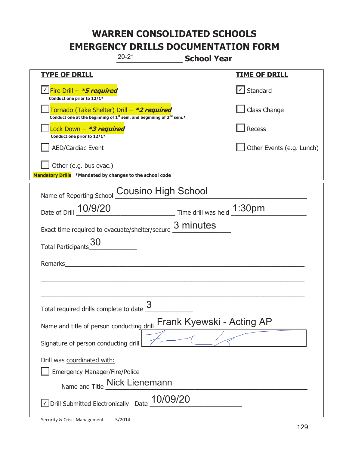| $20 - 21$<br><b>School Year</b>                                                                                                           |                            |  |
|-------------------------------------------------------------------------------------------------------------------------------------------|----------------------------|--|
| <b>TYPE OF DRILL</b>                                                                                                                      | <b>TIME OF DRILL</b>       |  |
| <u>√ Fire Drill – <b>*5 required</b></u><br>Conduct one prior to 12/1*                                                                    | √ Standard                 |  |
| Tornado (Take Shelter) Drill – *2 required<br>Conduct one at the beginning of 1 <sup>st</sup> sem. and beginning of 2 <sup>nd</sup> sem.* | Class Change               |  |
| Lock Down – <i>*<b>3 required</b></i><br>Conduct one prior to 12/1*                                                                       | Recess                     |  |
| <b>AED/Cardiac Event</b>                                                                                                                  | Other Events (e.g. Lunch)  |  |
| Other (e.g. bus evac.)                                                                                                                    |                            |  |
| Mandatory Drills *Mandated by changes to the school code                                                                                  |                            |  |
| Name of Reporting School Cousino High School                                                                                              |                            |  |
| Date of Drill 10/9/20                                                                                                                     | Time drill was held 1:30pm |  |
| Exact time required to evacuate/shelter/secure                                                                                            | 3 minutes                  |  |
| 30<br><b>Total Participants</b>                                                                                                           |                            |  |
| Remarks                                                                                                                                   |                            |  |
|                                                                                                                                           |                            |  |
|                                                                                                                                           |                            |  |
| 3<br>Total required drills complete to date                                                                                               |                            |  |
| Name and title of person conducting drill                                                                                                 | Frank Kyewski - Acting AP  |  |
| Signature of person conducting drill                                                                                                      |                            |  |
| Drill was coordinated with:<br><b>Emergency Manager/Fire/Police</b>                                                                       |                            |  |
| Name and Title Mick Lienemann                                                                                                             |                            |  |
| $\vee$ Drill Submitted Electronically Date $\underline{10/09/20}$                                                                         |                            |  |